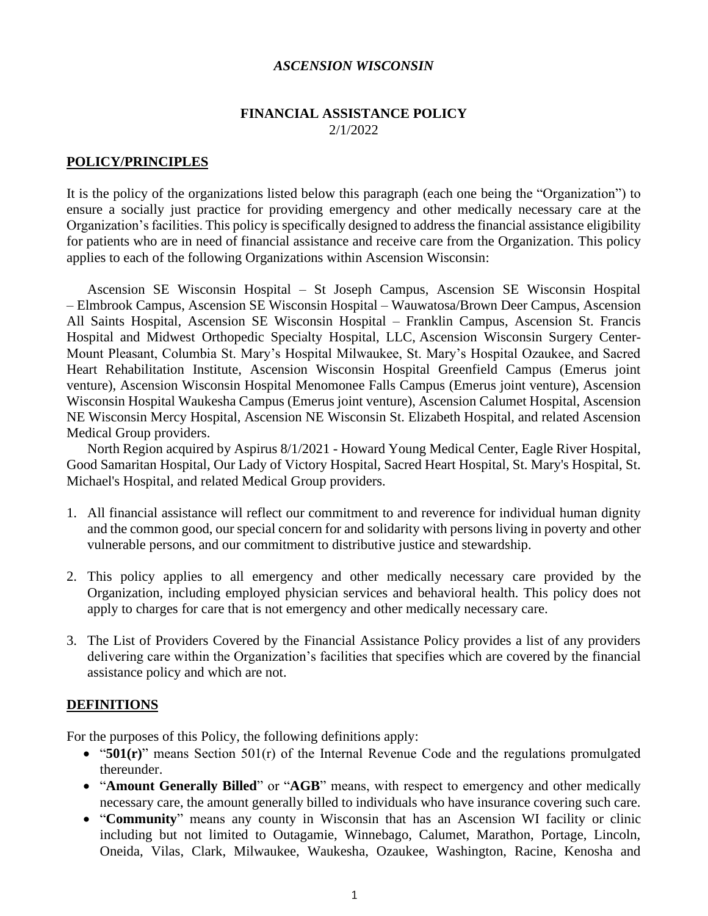#### *ASCENSION WISCONSIN*

#### **FINANCIAL ASSISTANCE POLICY** 2/1/2022

#### **POLICY/PRINCIPLES**

It is the policy of the organizations listed below this paragraph (each one being the "Organization") to ensure a socially just practice for providing emergency and other medically necessary care at the Organization's facilities. This policy is specifically designed to address the financial assistance eligibility for patients who are in need of financial assistance and receive care from the Organization. This policy applies to each of the following Organizations within Ascension Wisconsin:

Ascension SE Wisconsin Hospital – St Joseph Campus, Ascension SE Wisconsin Hospital – Elmbrook Campus, Ascension SE Wisconsin Hospital – Wauwatosa/Brown Deer Campus, Ascension All Saints Hospital, Ascension SE Wisconsin Hospital – Franklin Campus, Ascension St. Francis Hospital and Midwest Orthopedic Specialty Hospital, LLC, Ascension Wisconsin Surgery Center-Mount Pleasant, Columbia St. Mary's Hospital Milwaukee, St. Mary's Hospital Ozaukee, and Sacred Heart Rehabilitation Institute, Ascension Wisconsin Hospital Greenfield Campus (Emerus joint venture), Ascension Wisconsin Hospital Menomonee Falls Campus (Emerus joint venture), Ascension Wisconsin Hospital Waukesha Campus (Emerus joint venture), Ascension Calumet Hospital, Ascension NE Wisconsin Mercy Hospital, Ascension NE Wisconsin St. Elizabeth Hospital, and related Ascension Medical Group providers.

North Region acquired by Aspirus 8/1/2021 - Howard Young Medical Center, Eagle River Hospital, Good Samaritan Hospital, Our Lady of Victory Hospital, Sacred Heart Hospital, St. Mary's Hospital, St. Michael's Hospital, and related Medical Group providers.

- 1. All financial assistance will reflect our commitment to and reverence for individual human dignity and the common good, our special concern for and solidarity with persons living in poverty and other vulnerable persons, and our commitment to distributive justice and stewardship.
- 2. This policy applies to all emergency and other medically necessary care provided by the Organization, including employed physician services and behavioral health. This policy does not apply to charges for care that is not emergency and other medically necessary care.
- 3. The List of Providers Covered by the Financial Assistance Policy provides a list of any providers delivering care within the Organization's facilities that specifies which are covered by the financial assistance policy and which are not.

### **DEFINITIONS**

For the purposes of this Policy, the following definitions apply:

- "**501(r)**" means Section 501(r) of the Internal Revenue Code and the regulations promulgated thereunder.
- "**Amount Generally Billed**" or "**AGB**" means, with respect to emergency and other medically necessary care, the amount generally billed to individuals who have insurance covering such care.
- "**Community**" means any county in Wisconsin that has an Ascension WI facility or clinic including but not limited to Outagamie, Winnebago, Calumet, Marathon, Portage, Lincoln, Oneida, Vilas, Clark, Milwaukee, Waukesha, Ozaukee, Washington, Racine, Kenosha and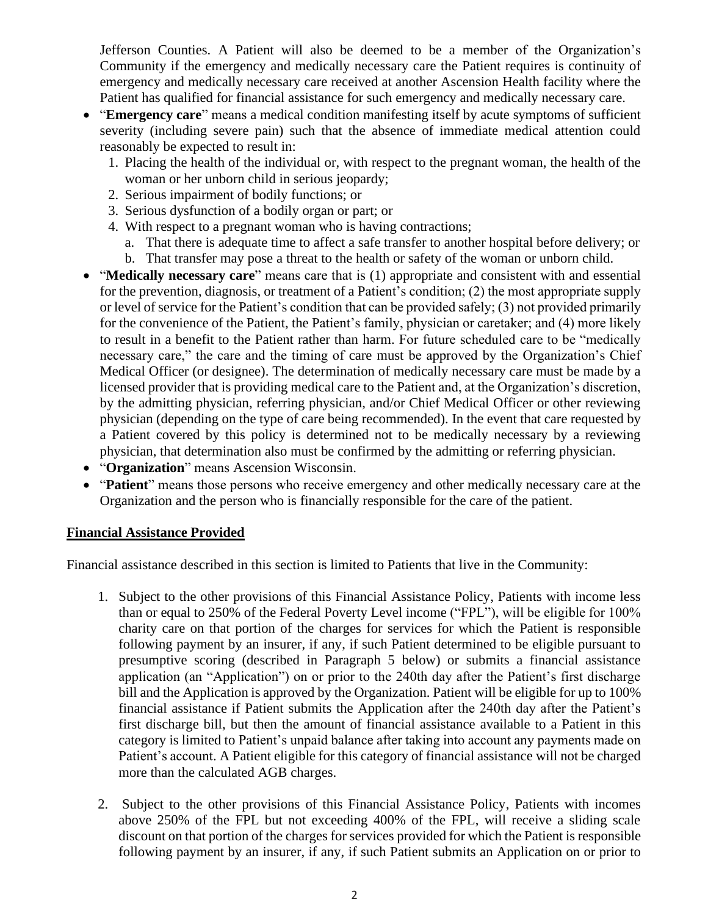Jefferson Counties. A Patient will also be deemed to be a member of the Organization's Community if the emergency and medically necessary care the Patient requires is continuity of emergency and medically necessary care received at another Ascension Health facility where the Patient has qualified for financial assistance for such emergency and medically necessary care.

- "**Emergency care**" means a medical condition manifesting itself by acute symptoms of sufficient severity (including severe pain) such that the absence of immediate medical attention could reasonably be expected to result in:
	- 1. Placing the health of the individual or, with respect to the pregnant woman, the health of the woman or her unborn child in serious jeopardy;
	- 2. Serious impairment of bodily functions; or
	- 3. Serious dysfunction of a bodily organ or part; or
	- 4. With respect to a pregnant woman who is having contractions;
		- a. That there is adequate time to affect a safe transfer to another hospital before delivery; or
		- b. That transfer may pose a threat to the health or safety of the woman or unborn child.
- "**Medically necessary care**" means care that is (1) appropriate and consistent with and essential for the prevention, diagnosis, or treatment of a Patient's condition; (2) the most appropriate supply or level of service for the Patient's condition that can be provided safely; (3) not provided primarily for the convenience of the Patient, the Patient's family, physician or caretaker; and (4) more likely to result in a benefit to the Patient rather than harm. For future scheduled care to be "medically necessary care," the care and the timing of care must be approved by the Organization's Chief Medical Officer (or designee). The determination of medically necessary care must be made by a licensed provider that is providing medical care to the Patient and, at the Organization's discretion, by the admitting physician, referring physician, and/or Chief Medical Officer or other reviewing physician (depending on the type of care being recommended). In the event that care requested by a Patient covered by this policy is determined not to be medically necessary by a reviewing physician, that determination also must be confirmed by the admitting or referring physician.
- "**Organization**" means Ascension Wisconsin.
- "**Patient**" means those persons who receive emergency and other medically necessary care at the Organization and the person who is financially responsible for the care of the patient.

### **Financial Assistance Provided**

Financial assistance described in this section is limited to Patients that live in the Community:

- 1. Subject to the other provisions of this Financial Assistance Policy, Patients with income less than or equal to 250% of the Federal Poverty Level income ("FPL"), will be eligible for 100% charity care on that portion of the charges for services for which the Patient is responsible following payment by an insurer, if any, if such Patient determined to be eligible pursuant to presumptive scoring (described in Paragraph 5 below) or submits a financial assistance application (an "Application") on or prior to the 240th day after the Patient's first discharge bill and the Application is approved by the Organization. Patient will be eligible for up to 100% financial assistance if Patient submits the Application after the 240th day after the Patient's first discharge bill, but then the amount of financial assistance available to a Patient in this category is limited to Patient's unpaid balance after taking into account any payments made on Patient's account. A Patient eligible for this category of financial assistance will not be charged more than the calculated AGB charges.
- 2. Subject to the other provisions of this Financial Assistance Policy, Patients with incomes above 250% of the FPL but not exceeding 400% of the FPL, will receive a sliding scale discount on that portion of the charges for services provided for which the Patient is responsible following payment by an insurer, if any, if such Patient submits an Application on or prior to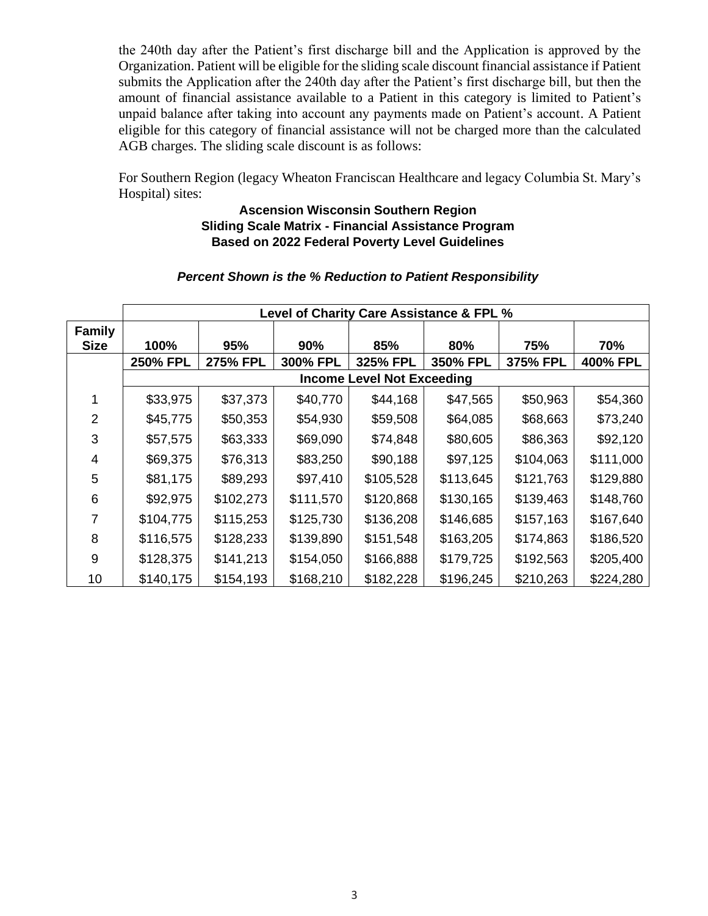the 240th day after the Patient's first discharge bill and the Application is approved by the Organization. Patient will be eligible for the sliding scale discount financial assistance if Patient submits the Application after the 240th day after the Patient's first discharge bill, but then the amount of financial assistance available to a Patient in this category is limited to Patient's unpaid balance after taking into account any payments made on Patient's account. A Patient eligible for this category of financial assistance will not be charged more than the calculated AGB charges. The sliding scale discount is as follows:

For Southern Region (legacy Wheaton Franciscan Healthcare and legacy Columbia St. Mary's Hospital) sites:

### **Ascension Wisconsin Southern Region Sliding Scale Matrix - Financial Assistance Program Based on 2022 Federal Poverty Level Guidelines**

#### *Percent Shown is the % Reduction to Patient Responsibility*

|                              | Level of Charity Care Assistance & FPL % |                 |           |           |           |           |           |  |  |  |
|------------------------------|------------------------------------------|-----------------|-----------|-----------|-----------|-----------|-----------|--|--|--|
| <b>Family</b><br><b>Size</b> | 100%                                     | 95%             | 90%       | 85%       | 80%       | 75%       | 70%       |  |  |  |
|                              | <b>250% FPL</b>                          | <b>275% FPL</b> | 300% FPL  | 325% FPL  | 350% FPL  | 375% FPL  | 400% FPL  |  |  |  |
|                              | <b>Income Level Not Exceeding</b>        |                 |           |           |           |           |           |  |  |  |
|                              | \$33,975                                 | \$37,373        | \$40,770  | \$44,168  | \$47,565  | \$50,963  | \$54,360  |  |  |  |
| 2                            | \$45,775                                 | \$50,353        | \$54,930  | \$59,508  | \$64,085  | \$68,663  | \$73,240  |  |  |  |
| 3                            | \$57,575                                 | \$63,333        | \$69,090  | \$74,848  | \$80,605  | \$86,363  | \$92,120  |  |  |  |
| 4                            | \$69,375                                 | \$76,313        | \$83,250  | \$90,188  | \$97,125  | \$104,063 | \$111,000 |  |  |  |
| 5                            | \$81,175                                 | \$89,293        | \$97,410  | \$105,528 | \$113,645 | \$121,763 | \$129,880 |  |  |  |
| 6                            | \$92,975                                 | \$102,273       | \$111,570 | \$120,868 | \$130,165 | \$139,463 | \$148,760 |  |  |  |
| 7                            | \$104,775                                | \$115,253       | \$125,730 | \$136,208 | \$146,685 | \$157,163 | \$167,640 |  |  |  |
| 8                            | \$116,575                                | \$128,233       | \$139,890 | \$151,548 | \$163,205 | \$174,863 | \$186,520 |  |  |  |
| 9                            | \$128,375                                | \$141,213       | \$154,050 | \$166,888 | \$179,725 | \$192,563 | \$205,400 |  |  |  |
| 10                           | \$140,175                                | \$154,193       | \$168,210 | \$182,228 | \$196,245 | \$210,263 | \$224,280 |  |  |  |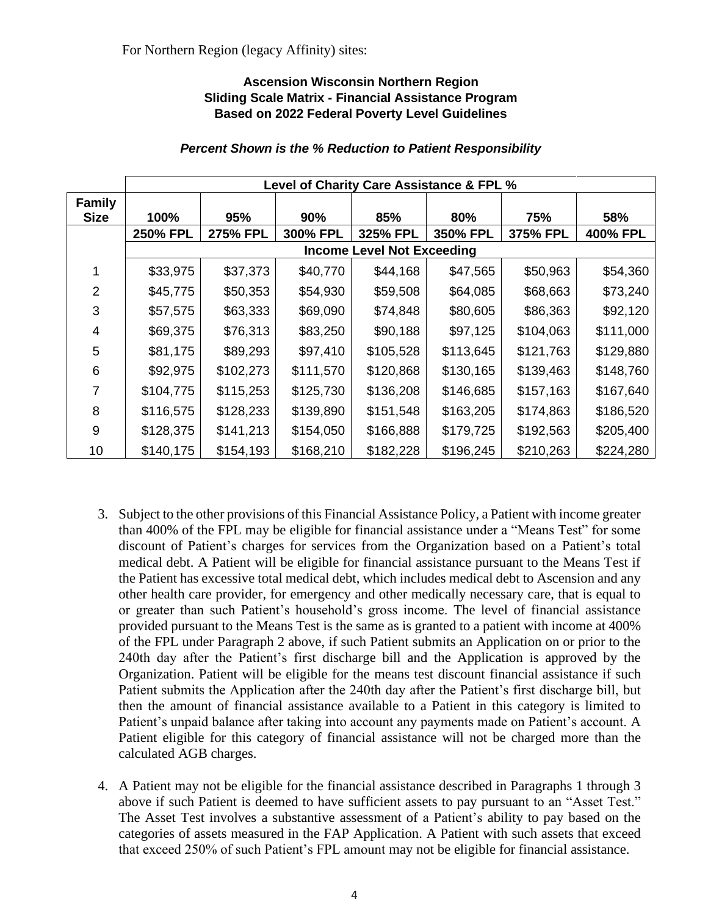### **Ascension Wisconsin Northern Region Sliding Scale Matrix - Financial Assistance Program Based on 2022 Federal Poverty Level Guidelines**

|                              | Level of Charity Care Assistance & FPL % |                 |           |           |           |           |           |  |  |  |
|------------------------------|------------------------------------------|-----------------|-----------|-----------|-----------|-----------|-----------|--|--|--|
| <b>Family</b><br><b>Size</b> | 100%                                     | 95%             | 90%       | 85%       | 80%       | 75%       | 58%       |  |  |  |
|                              | <b>250% FPL</b>                          | <b>275% FPL</b> | 300% FPL  | 325% FPL  | 350% FPL  | 375% FPL  | 400% FPL  |  |  |  |
|                              | <b>Income Level Not Exceeding</b>        |                 |           |           |           |           |           |  |  |  |
|                              | \$33,975                                 | \$37,373        | \$40,770  | \$44,168  | \$47,565  | \$50,963  | \$54,360  |  |  |  |
| $\mathcal{P}$                | \$45,775                                 | \$50,353        | \$54,930  | \$59,508  | \$64,085  | \$68,663  | \$73,240  |  |  |  |
| 3                            | \$57,575                                 | \$63,333        | \$69,090  | \$74,848  | \$80,605  | \$86,363  | \$92,120  |  |  |  |
| 4                            | \$69,375                                 | \$76,313        | \$83,250  | \$90,188  | \$97,125  | \$104,063 | \$111,000 |  |  |  |
| 5                            | \$81,175                                 | \$89,293        | \$97,410  | \$105,528 | \$113,645 | \$121,763 | \$129,880 |  |  |  |
| 6                            | \$92,975                                 | \$102,273       | \$111,570 | \$120,868 | \$130,165 | \$139,463 | \$148,760 |  |  |  |
| 7                            | \$104,775                                | \$115,253       | \$125,730 | \$136,208 | \$146,685 | \$157,163 | \$167,640 |  |  |  |
| 8                            | \$116,575                                | \$128,233       | \$139,890 | \$151,548 | \$163,205 | \$174,863 | \$186,520 |  |  |  |
| 9                            | \$128,375                                | \$141,213       | \$154,050 | \$166,888 | \$179,725 | \$192,563 | \$205,400 |  |  |  |
| 10                           | \$140,175                                | \$154,193       | \$168,210 | \$182,228 | \$196,245 | \$210,263 | \$224,280 |  |  |  |

### *Percent Shown is the % Reduction to Patient Responsibility*

- 3. Subject to the other provisions of this Financial Assistance Policy, a Patient with income greater than 400% of the FPL may be eligible for financial assistance under a "Means Test" for some discount of Patient's charges for services from the Organization based on a Patient's total medical debt. A Patient will be eligible for financial assistance pursuant to the Means Test if the Patient has excessive total medical debt, which includes medical debt to Ascension and any other health care provider, for emergency and other medically necessary care, that is equal to or greater than such Patient's household's gross income. The level of financial assistance provided pursuant to the Means Test is the same as is granted to a patient with income at 400% of the FPL under Paragraph 2 above, if such Patient submits an Application on or prior to the 240th day after the Patient's first discharge bill and the Application is approved by the Organization. Patient will be eligible for the means test discount financial assistance if such Patient submits the Application after the 240th day after the Patient's first discharge bill, but then the amount of financial assistance available to a Patient in this category is limited to Patient's unpaid balance after taking into account any payments made on Patient's account. A Patient eligible for this category of financial assistance will not be charged more than the calculated AGB charges.
- 4. A Patient may not be eligible for the financial assistance described in Paragraphs 1 through 3 above if such Patient is deemed to have sufficient assets to pay pursuant to an "Asset Test." The Asset Test involves a substantive assessment of a Patient's ability to pay based on the categories of assets measured in the FAP Application. A Patient with such assets that exceed that exceed 250% of such Patient's FPL amount may not be eligible for financial assistance.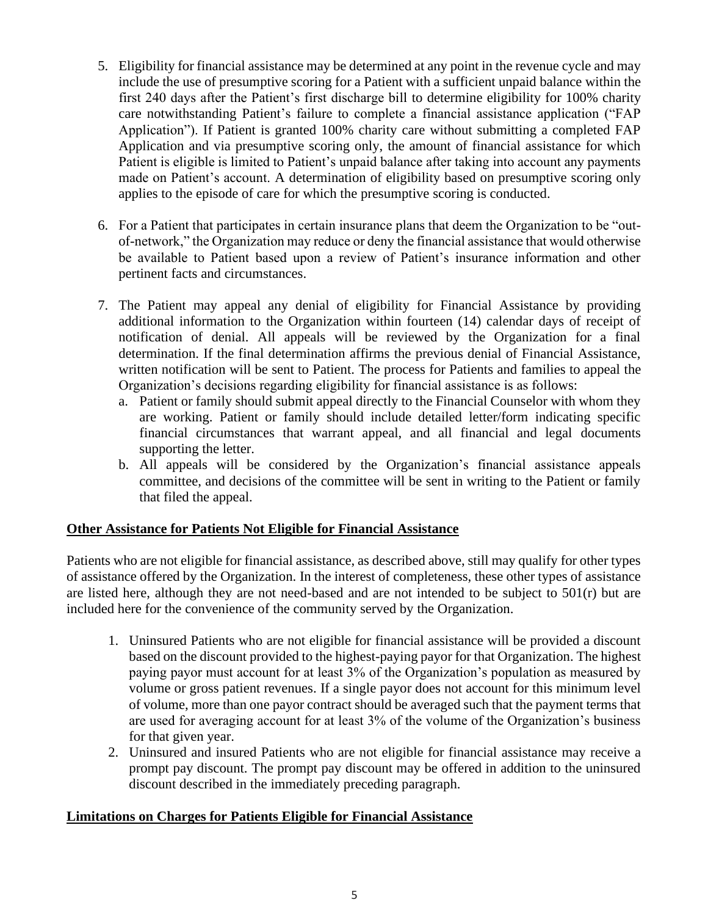- 5. Eligibility for financial assistance may be determined at any point in the revenue cycle and may include the use of presumptive scoring for a Patient with a sufficient unpaid balance within the first 240 days after the Patient's first discharge bill to determine eligibility for 100% charity care notwithstanding Patient's failure to complete a financial assistance application ("FAP Application"). If Patient is granted 100% charity care without submitting a completed FAP Application and via presumptive scoring only, the amount of financial assistance for which Patient is eligible is limited to Patient's unpaid balance after taking into account any payments made on Patient's account. A determination of eligibility based on presumptive scoring only applies to the episode of care for which the presumptive scoring is conducted.
- 6. For a Patient that participates in certain insurance plans that deem the Organization to be "outof-network," the Organization may reduce or deny the financial assistance that would otherwise be available to Patient based upon a review of Patient's insurance information and other pertinent facts and circumstances.
- 7. The Patient may appeal any denial of eligibility for Financial Assistance by providing additional information to the Organization within fourteen (14) calendar days of receipt of notification of denial. All appeals will be reviewed by the Organization for a final determination. If the final determination affirms the previous denial of Financial Assistance, written notification will be sent to Patient. The process for Patients and families to appeal the Organization's decisions regarding eligibility for financial assistance is as follows:
	- a. Patient or family should submit appeal directly to the Financial Counselor with whom they are working. Patient or family should include detailed letter/form indicating specific financial circumstances that warrant appeal, and all financial and legal documents supporting the letter.
	- b. All appeals will be considered by the Organization's financial assistance appeals committee, and decisions of the committee will be sent in writing to the Patient or family that filed the appeal.

# **Other Assistance for Patients Not Eligible for Financial Assistance**

Patients who are not eligible for financial assistance, as described above, still may qualify for other types of assistance offered by the Organization. In the interest of completeness, these other types of assistance are listed here, although they are not need-based and are not intended to be subject to 501(r) but are included here for the convenience of the community served by the Organization.

- 1. Uninsured Patients who are not eligible for financial assistance will be provided a discount based on the discount provided to the highest-paying payor for that Organization. The highest paying payor must account for at least 3% of the Organization's population as measured by volume or gross patient revenues. If a single payor does not account for this minimum level of volume, more than one payor contract should be averaged such that the payment terms that are used for averaging account for at least 3% of the volume of the Organization's business for that given year.
- 2. Uninsured and insured Patients who are not eligible for financial assistance may receive a prompt pay discount. The prompt pay discount may be offered in addition to the uninsured discount described in the immediately preceding paragraph.

# **Limitations on Charges for Patients Eligible for Financial Assistance**